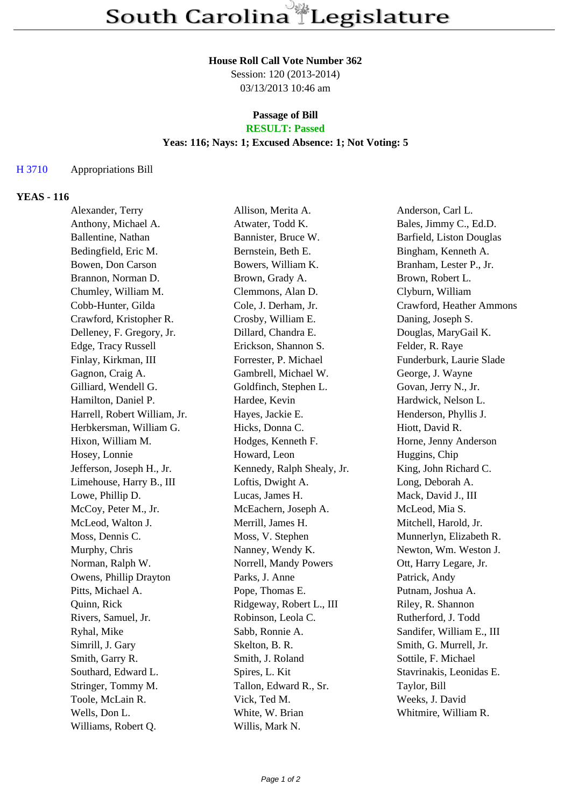### **House Roll Call Vote Number 362**

Session: 120 (2013-2014) 03/13/2013 10:46 am

### **Passage of Bill RESULT: Passed**

#### **Yeas: 116; Nays: 1; Excused Absence: 1; Not Voting: 5**

#### H 3710 Appropriations Bill

#### **YEAS - 116**

| Alexander, Terry             | Allison, Merita A.         | Anderson, Carl L.         |
|------------------------------|----------------------------|---------------------------|
| Anthony, Michael A.          | Atwater, Todd K.           | Bales, Jimmy C., Ed.D.    |
| Ballentine, Nathan           | Bannister, Bruce W.        | Barfield, Liston Douglas  |
| Bedingfield, Eric M.         | Bernstein, Beth E.         | Bingham, Kenneth A.       |
| Bowen, Don Carson            | Bowers, William K.         | Branham, Lester P., Jr.   |
| Brannon, Norman D.           | Brown, Grady A.            | Brown, Robert L.          |
| Chumley, William M.          | Clemmons, Alan D.          | Clyburn, William          |
| Cobb-Hunter, Gilda           | Cole, J. Derham, Jr.       | Crawford, Heather Ammons  |
| Crawford, Kristopher R.      | Crosby, William E.         | Daning, Joseph S.         |
| Delleney, F. Gregory, Jr.    | Dillard, Chandra E.        | Douglas, MaryGail K.      |
| Edge, Tracy Russell          | Erickson, Shannon S.       | Felder, R. Raye           |
| Finlay, Kirkman, III         | Forrester, P. Michael      | Funderburk, Laurie Slade  |
| Gagnon, Craig A.             | Gambrell, Michael W.       | George, J. Wayne          |
| Gilliard, Wendell G.         | Goldfinch, Stephen L.      | Govan, Jerry N., Jr.      |
| Hamilton, Daniel P.          | Hardee, Kevin              | Hardwick, Nelson L.       |
| Harrell, Robert William, Jr. | Hayes, Jackie E.           | Henderson, Phyllis J.     |
| Herbkersman, William G.      | Hicks, Donna C.            | Hiott, David R.           |
| Hixon, William M.            | Hodges, Kenneth F.         | Horne, Jenny Anderson     |
| Hosey, Lonnie                | Howard, Leon               | Huggins, Chip             |
| Jefferson, Joseph H., Jr.    | Kennedy, Ralph Shealy, Jr. | King, John Richard C.     |
| Limehouse, Harry B., III     | Loftis, Dwight A.          | Long, Deborah A.          |
| Lowe, Phillip D.             | Lucas, James H.            | Mack, David J., III       |
| McCoy, Peter M., Jr.         | McEachern, Joseph A.       | McLeod, Mia S.            |
| McLeod, Walton J.            | Merrill, James H.          | Mitchell, Harold, Jr.     |
| Moss, Dennis C.              | Moss, V. Stephen           | Munnerlyn, Elizabeth R.   |
| Murphy, Chris                | Nanney, Wendy K.           | Newton, Wm. Weston J.     |
| Norman, Ralph W.             | Norrell, Mandy Powers      | Ott, Harry Legare, Jr.    |
| Owens, Phillip Drayton       | Parks, J. Anne             | Patrick, Andy             |
| Pitts, Michael A.            | Pope, Thomas E.            | Putnam, Joshua A.         |
| Quinn, Rick                  | Ridgeway, Robert L., III   | Riley, R. Shannon         |
| Rivers, Samuel, Jr.          | Robinson, Leola C.         | Rutherford, J. Todd       |
| Ryhal, Mike                  | Sabb, Ronnie A.            | Sandifer, William E., III |
| Simrill, J. Gary             | Skelton, B. R.             | Smith, G. Murrell, Jr.    |
| Smith, Garry R.              | Smith, J. Roland           | Sottile, F. Michael       |
| Southard, Edward L.          | Spires, L. Kit             | Stavrinakis, Leonidas E.  |
| Stringer, Tommy M.           | Tallon, Edward R., Sr.     | Taylor, Bill              |
| Toole, McLain R.             | Vick, Ted M.               | Weeks, J. David           |
| Wells, Don L.                | White, W. Brian            | Whitmire, William R.      |
| Williams, Robert Q.          | Willis, Mark N.            |                           |
|                              |                            |                           |